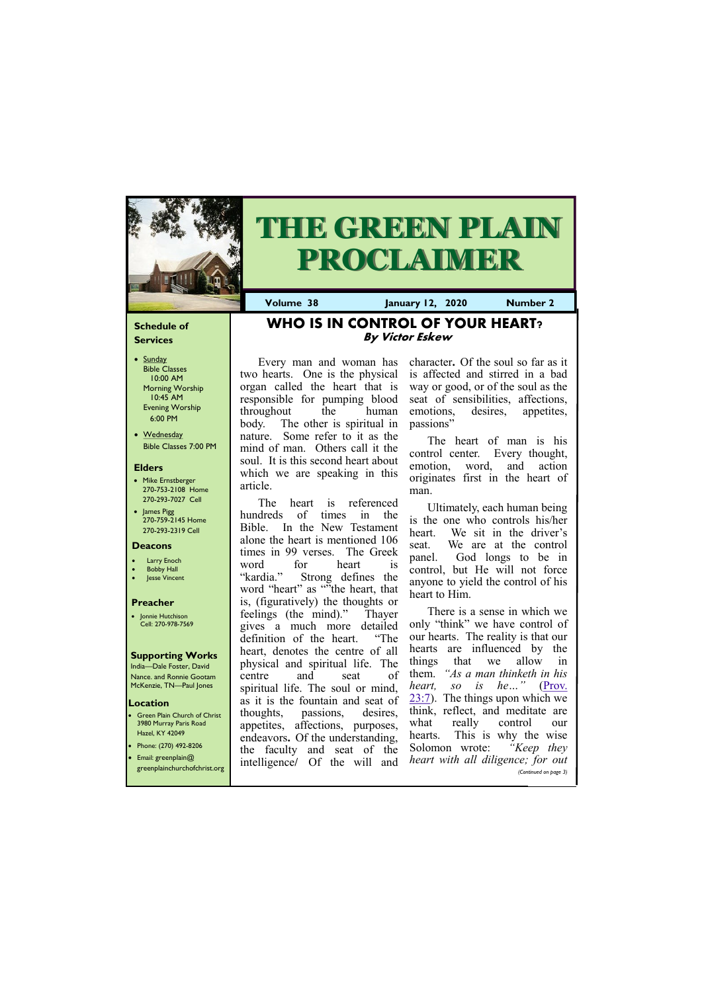# **Schedule of Services**

- Sunday Bible Classes 10:00 AM Morning Worship 10:45 AM Evening Worship 6:00 PM
- Wednesday Bible Classes 7:00 PM

# **Elders**

**Green Plain Church of Christ** 3980 Murray Paris Road Hazel, KY 42049 • Phone: (270) 492-8206

- Mike Ernstberger 270-753-2108 Home 270-293-7027 Cell
- James Pigg 270-759-2145 Home 270-293-2319 Cell

# **Location**

India—Dale Foster, David Nance. and Ronnie Gootam McKenzie, TN—Paul Jones



# **THE GREEN PLAIN PROCLAIMER**

**Volume 38 January 12, 2020 Number 2**

### **Deacons**

- **Larry Enoch**
- **Bobby Hall**
- **Jesse Vincent**

The heart is referenced hundreds of times in the Bible. In the New Testament alone the heart is mentioned 106 times in 99 verses. The Greek word for heart is "kardia." Strong defines the word "heart" as ""the heart, that is, (figuratively) the thoughts or feelings (the mind)." Thayer gives a much more detailed definition of the heart. "The heart, denotes the centre of all physical and spiritual life. The centre and seat of spiritual life. The soul or mind, as it is the fountain and seat of thoughts, passions, desires, appetites, affections, purposes, endeavors**.** Of the understanding, the faculty and seat of  $t^{1}$ 

# **Preacher**

• Jonnie Hutchison Cell: 270-978-7569

### **Supporting Works**

# **WHO IS IN CONTROL OF YOUR HEART? By Victor Eskew**

Every man and woman has two hearts. One is the physical organ called the heart that is responsible for pumping blood throughout the human body. The other is spiritual in nature. Some refer to it as the mind of man. Others call it the soul. It is this second heart about which we are speaking in this article.

|                              | the faculty and seat of the   |  | $\sim$ Dolomon $\sim$             | $\bf{1}$              |
|------------------------------|-------------------------------|--|-----------------------------------|-----------------------|
| Email: greenplain $@$        | intelligence/ Of the will and |  | heart with all diligence; for out |                       |
| greenplainchurchofchrist.org |                               |  |                                   | (Continued on page 3) |
|                              |                               |  |                                   |                       |

character**.** Of the soul so far as it is affected and stirred in a bad way or good, or of the soul as the seat of sensibilities, affections, emotions, desires, appetites, passions"

The heart of man is his control center. Every thought, emotion, word, and action originates first in the heart of man.

Ultimately, each human being is the one who controls his/her heart. We sit in the driver's seat. We are at the control panel. God longs to be in control, but He will not force anyone to yield the control of his heart to Him.

There is a sense in which we only "think" we have control of our hearts. The reality is that our hearts are influenced by the things that we allow in them. *"As a man thinketh in his heart, so is he…"* ([Prov.](https://biblia.com/bible/kjv1900/Prov.%2023.7)   $23:7$ ). The things upon which we think, reflect, and meditate are what really control our hearts. This is why the wise Solomon wrote: *"Keep they*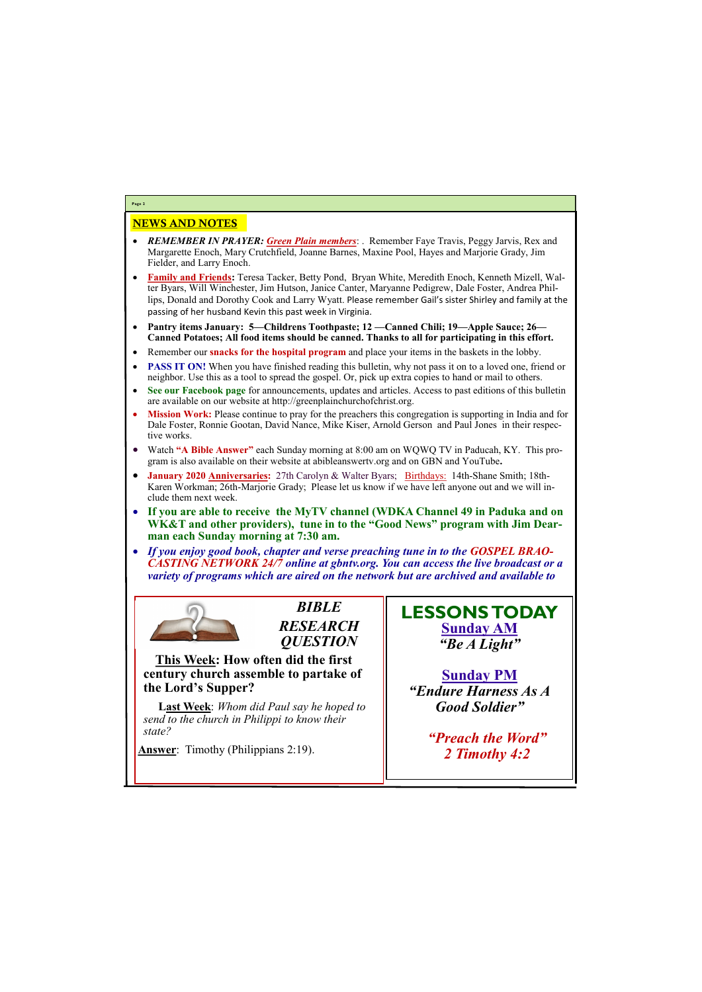# NEWS AND NOTES

- *REMEMBER IN PRAYER: Green Plain members*: . Remember Faye Travis, Peggy Jarvis, Rex and Margarette Enoch, Mary Crutchfield, Joanne Barnes, Maxine Pool, Hayes and Marjorie Grady, Jim Fielder, and Larry Enoch.
- **Family and Friends:** Teresa Tacker, Betty Pond, Bryan White, Meredith Enoch, Kenneth Mizell, Walter Byars, Will Winchester, Jim Hutson, Janice Canter, Maryanne Pedigrew, Dale Foster, Andrea Phillips, Donald and Dorothy Cook and Larry Wyatt. Please remember Gail's sister Shirley and family at the passing of her husband Kevin this past week in Virginia.
- **Pantry items January: 5—Childrens Toothpaste; 12 —Canned Chili; 19—Apple Sauce; 26— Canned Potatoes; All food items should be canned. Thanks to all for participating in this effort.**
- Remember our **snacks for the hospital program** and place your items in the baskets in the lobby.
- **PASS IT ON!** When you have finished reading this bulletin, why not pass it on to a loved one, friend or neighbor. Use this as a tool to spread the gospel. Or, pick up extra copies to hand or mail to others.
- **See our Facebook page** for announcements, updates and articles. Access to past editions of this bulletin are available on our website at http://greenplainchurchofchrist.org.
- **Mission Work:** Please continue to pray for the preachers this congregation is supporting in India and for Dale Foster, Ronnie Gootan, David Nance, Mike Kiser, Arnold Gerson and Paul Jones in their respective works.
- Watch **"A Bible Answer"** each Sunday morning at 8:00 am on WQWQ TV in Paducah, KY. This program is also available on their website at abibleanswertv.org and on GBN and YouTube**.**
- **January 2020 Anniversaries:** 27th Carolyn & Walter Byars; Birthdays: 14th-Shane Smith; 18th-Karen Workman; 26th-Marjorie Grady; Please let us know if we have left anyone out and we will include them next week.
- **If you are able to receive the MyTV channel (WDKA Channel 49 in Paduka and on WK&T and other providers), tune in to the "Good News" program with Jim Dearman each Sunday morning at 7:30 am.**
- *If you enjoy good book, chapter and verse preaching tune in to the GOSPEL BRAO-CASTING NETWORK 24/7 online at gbntv.org. You can access the live broadcast or a variety of programs which are aired on the network but are archived and available to*



**Page 2**

*BIBLE RESEARCH QUESTION*

**This Week: How often did the first century church assemble to partake of the Lord's Supper?**

**Last Week**: *Whom did Paul say he hoped to send to the church in Philippi to know their state?*

**Answer**: Timothy (Philippians 2:19).

# **LESSONS TODAY Sunday AM** *"Be A Light"*

**Sunday PM** *"Endure Harness As A Good Soldier"*

*"Preach the Word"*

| <b>Answer:</b> Timothy (Philippians $2:19$ ). | 2 Timothy 4:2 |
|-----------------------------------------------|---------------|
|                                               |               |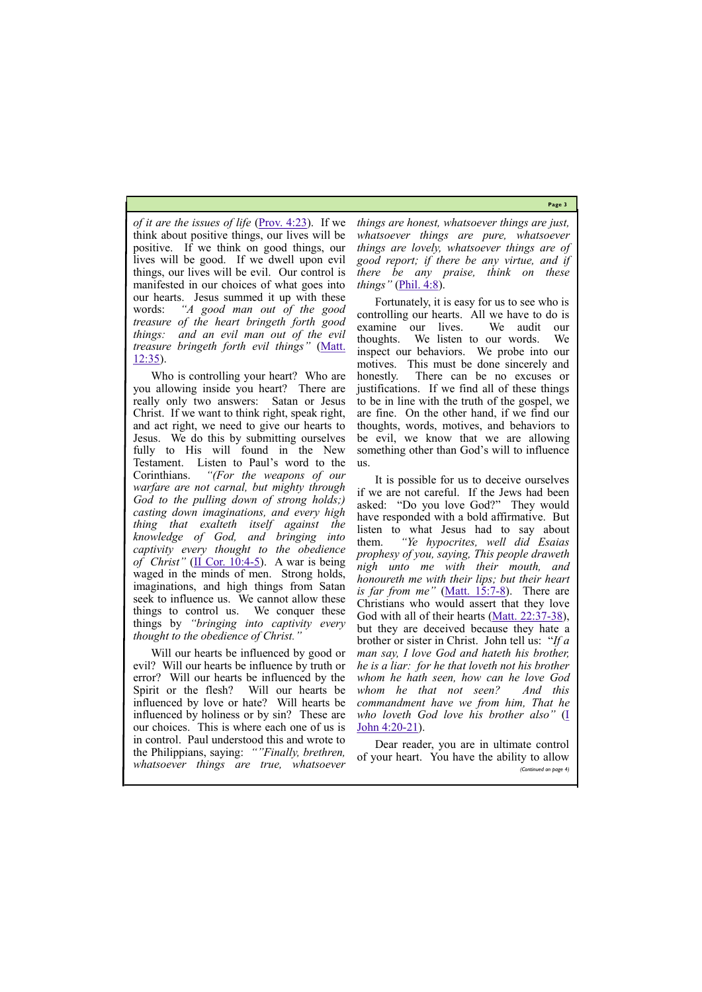**Page 3**

*of it are the issues of life [\(Prov. 4:23\)](https://biblia.com/bible/kjv1900/Prov.%204.23).* If we think about positive things, our lives will be positive. If we think on good things, our lives will be good. If we dwell upon evil things, our lives will be evil. Our control is manifested in our choices of what goes into our hearts. Jesus summed it up with these words: *"A good man out of the good treasure of the heart bringeth forth good things: and an evil man out of the evil treasure bringeth forth evil things"* ([Matt.](https://biblia.com/bible/kjv1900/Matt.%2012.35)  [12:35\)](https://biblia.com/bible/kjv1900/Matt.%2012.35).

Who is controlling your heart? Who are you allowing inside you heart? There are really only two answers: Satan or Jesus Christ. If we want to think right, speak right, and act right, we need to give our hearts to Jesus. We do this by submitting ourselves fully to His will found in the New Testament. Listen to Paul's word to the Corinthians. *"(For the weapons of our warfare are not carnal, but mighty through God to the pulling down of strong holds;) casting down imaginations, and every high thing that exalteth itself against the knowledge of God, and bringing into captivity every thought to the obedience of Christ"* ([II Cor. 10:4](https://biblia.com/bible/kjv1900/2%20Cor.%2010.4-5)-5). A war is being waged in the minds of men. Strong holds, imaginations, and high things from Satan seek to influence us. We cannot allow these things to control us. We conquer these things by *"bringing into captivity every thought to the obedience of Christ."*

It is possible for us to deceive ourselves if we are not careful. If the Jews had been asked: "Do you love God?" They would have responded with a bold affirmative. But listen to what Jesus had to say about them. *"Ye hypocrites, well did Esaias prophesy of you, saying, This people draweth nigh unto me with their mouth, and honoureth me with their lips; but their heart is far from me"* ([Matt. 15:7](https://biblia.com/bible/kjv1900/Matt.%2015.7-8)-8). There are Christians who would assert that they love God with all of their hearts [\(Matt. 22:37](https://biblia.com/bible/kjv1900/Matt.%2022.37-38)-38), but they are deceived because they hate a brother or sister in Christ. John tell us: "*If a man say, I love God and hateth his brother, he is a liar: for he that loveth not his brother whom he hath seen, how can he love God whom he that not seen? And this commandment have we from him, That he who loveth God love his brother also"* [\(I](https://biblia.com/bible/kjv1900/1%20John%204.20-21)  [John 4:20](https://biblia.com/bible/kjv1900/1%20John%204.20-21)-21).

Will our hearts be influenced by good or evil? Will our hearts be influence by truth or error? Will our hearts be influenced by the Spirit or the flesh? Will our hearts be influenced by love or hate? Will hearts be influenced by holiness or by sin? These are our choices. This is where each one of us is in control. Paul understood this and wrote to *things are honest, whatsoever things are just, whatsoever things are pure, whatsoever things are lovely, whatsoever things are of good report; if there be any virtue, and if there be any praise, think on these things"* ([Phil. 4:8\).](https://biblia.com/bible/kjv1900/Phil.%204.8)

Fortunately, it is easy for us to see who is controlling our hearts. All we have to do is examine our lives. We audit our thoughts. We listen to our words. We inspect our behaviors. We probe into our motives. This must be done sincerely and honestly. There can be no excuses or justifications. If we find all of these things to be in line with the truth of the gospel, we are fine. On the other hand, if we find our thoughts, words, motives, and behaviors to be evil, we know that we are allowing something other than God's will to influence us.

the Philippians, saying: *""Finally, brethren, whatsoever things are true, whatsoever*  of your heart. You have the ability to allow *(Continued on page 4)*

Dear reader, you are in ultimate control